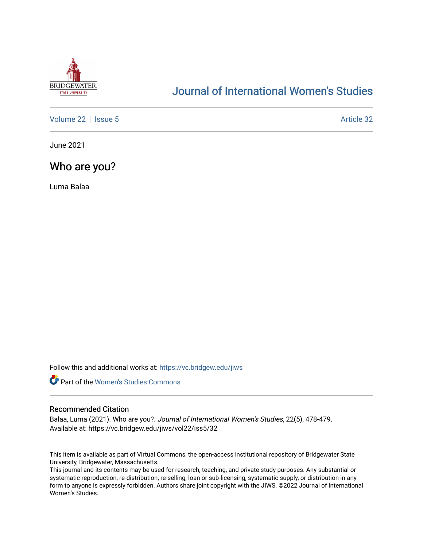

# [Journal of International Women's Studies](https://vc.bridgew.edu/jiws)

[Volume 22](https://vc.bridgew.edu/jiws/vol22) | [Issue 5](https://vc.bridgew.edu/jiws/vol22/iss5) Article 32

June 2021

## Who are you?

Luma Balaa

Follow this and additional works at: [https://vc.bridgew.edu/jiws](https://vc.bridgew.edu/jiws?utm_source=vc.bridgew.edu%2Fjiws%2Fvol22%2Fiss5%2F32&utm_medium=PDF&utm_campaign=PDFCoverPages)



### Recommended Citation

Balaa, Luma (2021). Who are you?. Journal of International Women's Studies, 22(5), 478-479. Available at: https://vc.bridgew.edu/jiws/vol22/iss5/32

This item is available as part of Virtual Commons, the open-access institutional repository of Bridgewater State University, Bridgewater, Massachusetts.

This journal and its contents may be used for research, teaching, and private study purposes. Any substantial or systematic reproduction, re-distribution, re-selling, loan or sub-licensing, systematic supply, or distribution in any form to anyone is expressly forbidden. Authors share joint copyright with the JIWS. ©2022 Journal of International Women's Studies.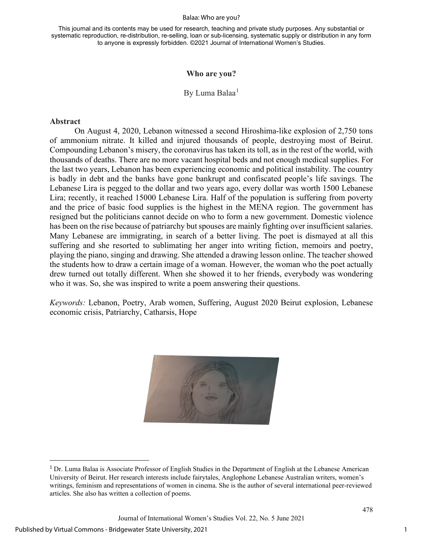#### Balaa: Who are you?

This journal and its contents may be used for research, teaching and private study purposes. Any substantial or systematic reproduction, re-distribution, re-selling, loan or sub-licensing, systematic supply or distribution in any form to anyone is expressly forbidden. ©2021 Journal of International Women's Studies.

## **Who are you?**

By Luma Balaa<sup>[1](#page-1-0)</sup>

## **Abstract**

On August 4, 2020, Lebanon witnessed a second Hiroshima-like explosion of 2,750 tons of ammonium nitrate. It killed and injured thousands of people, destroying most of Beirut. Compounding Lebanon's misery, the coronavirus has taken its toll, as in the rest of the world, with thousands of deaths. There are no more vacant hospital beds and not enough medical supplies. For the last two years, Lebanon has been experiencing economic and political instability. The country is badly in debt and the banks have gone bankrupt and confiscated people's life savings. The Lebanese Lira is pegged to the dollar and two years ago, every dollar was worth 1500 Lebanese Lira; recently, it reached 15000 Lebanese Lira. Half of the population is suffering from poverty and the price of basic food supplies is the highest in the MENA region. The government has resigned but the politicians cannot decide on who to form a new government. Domestic violence has been on the rise because of patriarchy but spouses are mainly fighting over insufficient salaries. Many Lebanese are immigrating, in search of a better living. The poet is dismayed at all this suffering and she resorted to sublimating her anger into writing fiction, memoirs and poetry, playing the piano, singing and drawing. She attended a drawing lesson online. The teacher showed the students how to draw a certain image of a woman. However, the woman who the poet actually drew turned out totally different. When she showed it to her friends, everybody was wondering who it was. So, she was inspired to write a poem answering their questions.

*Keywords:* Lebanon, Poetry, Arab women, Suffering, August 2020 Beirut explosion, Lebanese economic crisis, Patriarchy, Catharsis, Hope



Journal of International Women's Studies Vol. 22, No. 5 June 2021

1

<span id="page-1-0"></span><sup>1</sup> Dr. Luma Balaa is Associate Professor of English Studies in the Department of English at the Lebanese American University of Beirut. Her research interests include fairytales, Anglophone Lebanese Australian writers, women's writings, feminism and representations of women in cinema. She is the author of several international peer-reviewed articles. She also has written a collection of poems.